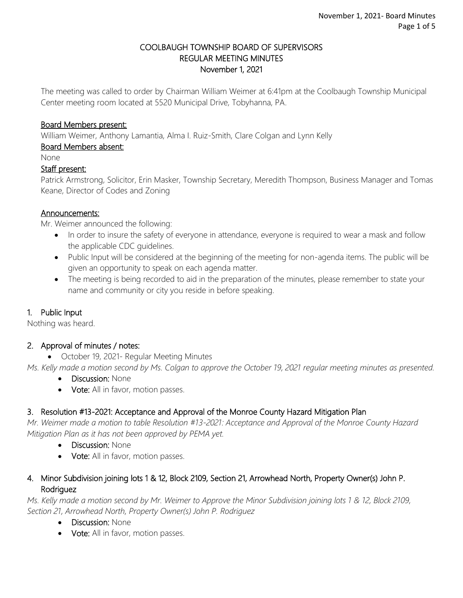#### COOLBAUGH TOWNSHIP BOARD OF SUPERVISORS REGULAR MEETING MINUTES November 1, 2021

The meeting was called to order by Chairman William Weimer at 6:41pm at the Coolbaugh Township Municipal Center meeting room located at 5520 Municipal Drive, Tobyhanna, PA.

## Board Members present:

William Weimer, Anthony Lamantia, Alma I. Ruiz-Smith, Clare Colgan and Lynn Kelly

## Board Members absent:

None

#### Staff present:

Patrick Armstrong, Solicitor, Erin Masker, Township Secretary, Meredith Thompson, Business Manager and Tomas Keane, Director of Codes and Zoning

#### Announcements:

Mr. Weimer announced the following:

- In order to insure the safety of everyone in attendance, everyone is required to wear a mask and follow the applicable CDC guidelines.
- Public Input will be considered at the beginning of the meeting for non-agenda items. The public will be given an opportunity to speak on each agenda matter.
- The meeting is being recorded to aid in the preparation of the minutes, please remember to state your name and community or city you reside in before speaking.

## 1. Public Input

Nothing was heard.

## 2. Approval of minutes / notes:

October 19, 2021- Regular Meeting Minutes

*Ms. Kelly made a motion second by Ms. Colgan to approve the October 19, 2021 regular meeting minutes as presented.* 

- Discussion: None
- Vote: All in favor, motion passes.

## 3. Resolution #13-2021: Acceptance and Approval of the Monroe County Hazard Mitigation Plan

*Mr. Weimer made a motion to table Resolution #13-2021: Acceptance and Approval of the Monroe County Hazard Mitigation Plan as it has not been approved by PEMA yet.*

- Discussion: None
- Vote: All in favor, motion passes.

## 4. Minor Subdivision joining lots 1 & 12, Block 2109, Section 21, Arrowhead North, Property Owner(s) John P. Rodriguez

*Ms. Kelly made a motion second by Mr. Weimer to Approve the Minor Subdivision joining lots 1 & 12, Block 2109, Section 21, Arrowhead North, Property Owner(s) John P. Rodriguez* 

- Discussion: None
- Vote: All in favor, motion passes.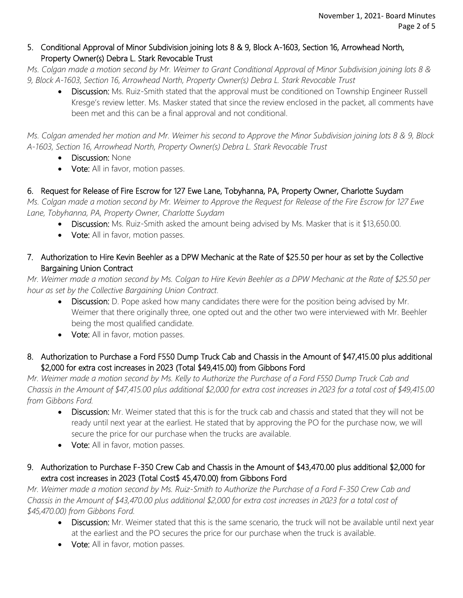# 5. Conditional Approval of Minor Subdivision joining lots 8 & 9, Block A-1603, Section 16, Arrowhead North, Property Owner(s) Debra L. Stark Revocable Trust

*Ms. Colgan made a motion second by Mr. Weimer to Grant Conditional Approval of Minor Subdivision joining lots 8 & 9, Block A-1603, Section 16, Arrowhead North, Property Owner(s) Debra L. Stark Revocable Trust* 

Discussion: Ms. Ruiz-Smith stated that the approval must be conditioned on Township Engineer Russell Kresge's review letter. Ms. Masker stated that since the review enclosed in the packet, all comments have been met and this can be a final approval and not conditional.

*Ms. Colgan amended her motion and Mr. Weimer his second to Approve the Minor Subdivision joining lots 8 & 9, Block A-1603, Section 16, Arrowhead North, Property Owner(s) Debra L. Stark Revocable Trust*

- Discussion: None
- Vote: All in favor, motion passes.

# 6. Request for Release of Fire Escrow for 127 Ewe Lane, Tobyhanna, PA, Property Owner, Charlotte Suydam

*Ms. Colgan made a motion second by Mr. Weimer to Approve the Request for Release of the Fire Escrow for 127 Ewe Lane, Tobyhanna, PA, Property Owner, Charlotte Suydam*

- Discussion: Ms. Ruiz-Smith asked the amount being advised by Ms. Masker that is it \$13,650.00.
- Vote: All in favor, motion passes.
- 7. Authorization to Hire Kevin Beehler as a DPW Mechanic at the Rate of \$25.50 per hour as set by the Collective Bargaining Union Contract

*Mr. Weimer made a motion second by Ms. Colgan to Hire Kevin Beehler as a DPW Mechanic at the Rate of \$25.50 per hour as set by the Collective Bargaining Union Contract.*

- Discussion: D. Pope asked how many candidates there were for the position being advised by Mr. Weimer that there originally three, one opted out and the other two were interviewed with Mr. Beehler being the most qualified candidate.
- Vote: All in favor, motion passes.

# 8. Authorization to Purchase a Ford F550 Dump Truck Cab and Chassis in the Amount of \$47,415.00 plus additional \$2,000 for extra cost increases in 2023 (Total \$49,415.00) from Gibbons Ford

*Mr. Weimer made a motion second by Ms. Kelly to Authorize the Purchase of a Ford F550 Dump Truck Cab and Chassis in the Amount of \$47,415.00 plus additional \$2,000 for extra cost increases in 2023 for a total cost of \$49,415.00 from Gibbons Ford.*

- Discussion: Mr. Weimer stated that this is for the truck cab and chassis and stated that they will not be ready until next year at the earliest. He stated that by approving the PO for the purchase now, we will secure the price for our purchase when the trucks are available.
- Vote: All in favor, motion passes.

# 9. Authorization to Purchase F-350 Crew Cab and Chassis in the Amount of \$43,470.00 plus additional \$2,000 for extra cost increases in 2023 (Total Cost\$ 45,470.00) from Gibbons Ford

*Mr. Weimer made a motion second by Ms. Ruiz-Smith to Authorize the Purchase of a Ford F-350 Crew Cab and Chassis in the Amount of \$43,470.00 plus additional \$2,000 for extra cost increases in 2023 for a total cost of \$45,470.00) from Gibbons Ford.*

- Discussion: Mr. Weimer stated that this is the same scenario, the truck will not be available until next year at the earliest and the PO secures the price for our purchase when the truck is available.
- Vote: All in favor, motion passes.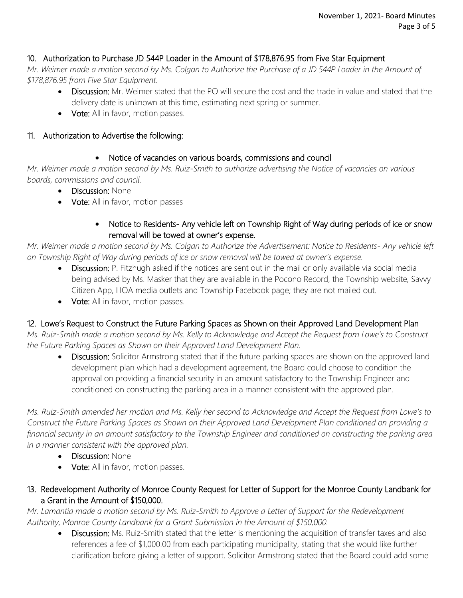# 10. Authorization to Purchase JD 544P Loader in the Amount of \$178,876.95 from Five Star Equipment

*Mr. Weimer made a motion second by Ms. Colgan to Authorize the Purchase of a JD 544P Loader in the Amount of \$178,876.95 from Five Star Equipment.*

- Discussion: Mr. Weimer stated that the PO will secure the cost and the trade in value and stated that the delivery date is unknown at this time, estimating next spring or summer.
- Vote: All in favor, motion passes.

## 11. Authorization to Advertise the following:

## Notice of vacancies on various boards, commissions and council

*Mr. Weimer made a motion second by Ms. Ruiz-Smith to authorize advertising the Notice of vacancies on various boards, commissions and council.*

- Discussion: None
- Vote: All in favor, motion passes

## • Notice to Residents- Any vehicle left on Township Right of Way during periods of ice or snow removal will be towed at owner's expense.

*Mr. Weimer made a motion second by Ms. Colgan to Authorize the Advertisement: Notice to Residents- Any vehicle left on Township Right of Way during periods of ice or snow removal will be towed at owner's expense.*

- Discussion: P. Fitzhugh asked if the notices are sent out in the mail or only available via social media being advised by Ms. Masker that they are available in the Pocono Record, the Township website, Savvy Citizen App, HOA media outlets and Township Facebook page; they are not mailed out.
- Vote: All in favor, motion passes.

# 12. Lowe's Request to Construct the Future Parking Spaces as Shown on their Approved Land Development Plan

*Ms. Ruiz-Smith made a motion second by Ms. Kelly to Acknowledge and Accept the Request from Lowe's to Construct the Future Parking Spaces as Shown on their Approved Land Development Plan.*

• Discussion: Solicitor Armstrong stated that if the future parking spaces are shown on the approved land development plan which had a development agreement, the Board could choose to condition the approval on providing a financial security in an amount satisfactory to the Township Engineer and conditioned on constructing the parking area in a manner consistent with the approved plan.

*Ms. Ruiz-Smith amended her motion and Ms. Kelly her second to Acknowledge and Accept the Request from Lowe's to Construct the Future Parking Spaces as Shown on their Approved Land Development Plan conditioned on providing a financial security in an amount satisfactory to the Township Engineer and conditioned on constructing the parking area in a manner consistent with the approved plan.*

- Discussion: None
- Vote: All in favor, motion passes.

# 13. Redevelopment Authority of Monroe County Request for Letter of Support for the Monroe County Landbank for a Grant in the Amount of \$150,000.

*Mr. Lamantia made a motion second by Ms. Ruiz-Smith to Approve a Letter of Support for the Redevelopment Authority, Monroe County Landbank for a Grant Submission in the Amount of \$150,000.*

Discussion: Ms. Ruiz-Smith stated that the letter is mentioning the acquisition of transfer taxes and also references a fee of \$1,000.00 from each participating municipality, stating that she would like further clarification before giving a letter of support. Solicitor Armstrong stated that the Board could add some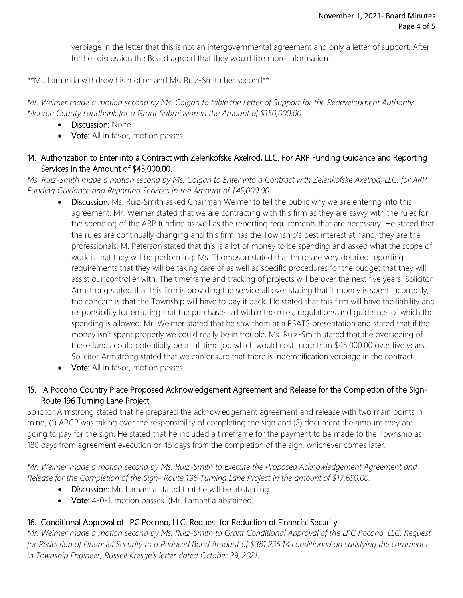verbiage in the letter that this is not an intergovernmental agreement and only a letter of support. After further discussion the Board agreed that they would like more information.

\*\*Mr. Lamantia withdrew his motion and Ms. Ruiz-Smith her second\*\*

*Mr. Weimer made a motion second by Ms. Colgan to table the Letter of Support for the Redevelopment Authority, Monroe County Landbank for a Grant Submission in the Amount of \$150,000.00.*

- Discussion: None
- Vote: All in favor, motion passes.
- 14. Authorization to Enter into a Contract with Zelenkofske Axelrod, LLC. For ARP Funding Guidance and Reporting Services in the Amount of \$45,000.00.

*Ms. Ruiz-Smith made a motion second by Ms. Colgan to Enter into a Contract with Zelenkofske Axelrod, LLC. for ARP Funding Guidance and Reporting Services in the Amount of \$45,000.00.*

- Discussion: Ms. Ruiz-Smith asked Chairman Weimer to tell the public why we are entering into this agreement. Mr. Weimer stated that we are contracting with this firm as they are savvy with the rules for the spending of the ARP funding as well as the reporting requirements that are necessary. He stated that the rules are continually changing and this firm has the Township's best interest at hand, they are the professionals. M. Peterson stated that this is a lot of money to be spending and asked what the scope of work is that they will be performing. Ms. Thompson stated that there are very detailed reporting requirements that they will be taking care of as well as specific procedures for the budget that they will assist our controller with. The timeframe and tracking of projects will be over the next five years. Solicitor Armstrong stated that this firm is providing the service all over stating that if money is spent incorrectly, the concern is that the Township will have to pay it back. He stated that this firm will have the liability and responsibility for ensuring that the purchases fall within the rules, regulations and guidelines of which the spending is allowed. Mr. Weimer stated that he saw them at a PSATS presentation and stated that if the money isn't spent properly we could really be in trouble. Ms. Ruiz-Smith stated that the overseeing of these funds could potentially be a full time job which would cost more than \$45,000.00 over five years. Solicitor Armstrong stated that we can ensure that there is indemnification verbiage in the contract.
- Vote: All in favor, motion passes.

# 15. A Pocono Country Place Proposed Acknowledgement Agreement and Release for the Completion of the Sign-Route 196 Turning Lane Project

Solicitor Armstrong stated that he prepared the acknowledgement agreement and release with two main points in mind, (1) APCP was taking over the responsibility of completing the sign and (2) document the amount they are going to pay for the sign. He stated that he included a timeframe for the payment to be made to the Township as 180 days from agreement execution or 45 days from the completion of the sign, whichever comes later.

*Mr. Weimer made a motion second by Ms. Ruiz-Smith to Execute the Proposed Acknowledgement Agreement and Release for the Completion of the Sign- Route 196 Turning Lane Project in the amount of \$17,650.00.*

- Discussion: Mr. Lamantia stated that he will be abstaining.
- Vote: 4-0-1, motion passes. (Mr. Lamantia abstained)

## 16. Conditional Approval of LPC Pocono, LLC. Request for Reduction of Financial Security

*Mr. Weimer made a motion second by Ms. Ruiz-Smith to Grant Conditional Approval of the LPC Pocono, LLC. Request for Reduction of Financial Security to a Reduced Bond Amount of \$381,235.14 conditioned on satisfying the comments in Township Engineer, Russell Kresge's letter dated October 29, 2021.*